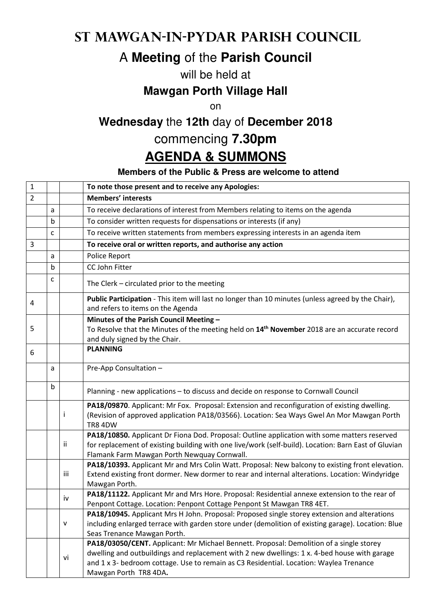### **St Mawgan-in-Pydar Parish Council**

# A **Meeting** of the **Parish Council**

#### will be held at

#### **Mawgan Porth Village Hall**

on

## **Wednesday** the **12th** day of **December 2018**

# commencing **7.30pm**

## **AGENDA & SUMMONS**

#### **Members of the Public & Press are welcome to attend**

| $\mathbf 1$    |   |     | To note those present and to receive any Apologies:                                                                                                                                                                                                                                                        |
|----------------|---|-----|------------------------------------------------------------------------------------------------------------------------------------------------------------------------------------------------------------------------------------------------------------------------------------------------------------|
| $\overline{2}$ |   |     | <b>Members' interests</b>                                                                                                                                                                                                                                                                                  |
|                | a |     | To receive declarations of interest from Members relating to items on the agenda                                                                                                                                                                                                                           |
|                | b |     | To consider written requests for dispensations or interests (if any)                                                                                                                                                                                                                                       |
|                | C |     | To receive written statements from members expressing interests in an agenda item                                                                                                                                                                                                                          |
| 3              |   |     | To receive oral or written reports, and authorise any action                                                                                                                                                                                                                                               |
|                | a |     | Police Report                                                                                                                                                                                                                                                                                              |
|                | b |     | CC John Fitter                                                                                                                                                                                                                                                                                             |
|                | C |     | The Clerk - circulated prior to the meeting                                                                                                                                                                                                                                                                |
| 4              |   |     | Public Participation - This item will last no longer than 10 minutes (unless agreed by the Chair),<br>and refers to items on the Agenda                                                                                                                                                                    |
| 5              |   |     | Minutes of the Parish Council Meeting -<br>To Resolve that the Minutes of the meeting held on 14 <sup>th</sup> November 2018 are an accurate record<br>and duly signed by the Chair.                                                                                                                       |
| 6              |   |     | <b>PLANNING</b>                                                                                                                                                                                                                                                                                            |
|                | a |     | Pre-App Consultation -                                                                                                                                                                                                                                                                                     |
|                | b |     | Planning - new applications - to discuss and decide on response to Cornwall Council                                                                                                                                                                                                                        |
|                |   | Ť   | PA18/09870. Applicant: Mr Fox. Proposal: Extension and reconfiguration of existing dwelling.<br>(Revision of approved application PA18/03566). Location: Sea Ways Gwel An Mor Mawgan Porth<br><b>TR8 4DW</b>                                                                                               |
|                |   | ii  | PA18/10850. Applicant Dr Fiona Dod. Proposal: Outline application with some matters reserved<br>for replacement of existing building with one live/work (self-build). Location: Barn East of Gluvian<br>Flamank Farm Mawgan Porth Newquay Cornwall.                                                        |
|                |   | iii | PA18/10393. Applicant Mr and Mrs Colin Watt. Proposal: New balcony to existing front elevation.<br>Extend existing front dormer. New dormer to rear and internal alterations. Location: Windyridge<br>Mawgan Porth.                                                                                        |
|                |   | iv  | PA18/11122. Applicant Mr and Mrs Hore. Proposal: Residential annexe extension to the rear of<br>Penpont Cottage. Location: Penpont Cottage Penpont St Mawgan TR8 4ET.                                                                                                                                      |
|                |   | v   | PA18/10945. Applicant Mrs H John. Proposal: Proposed single storey extension and alterations<br>including enlarged terrace with garden store under (demolition of existing garage). Location: Blue<br>Seas Trenance Mawgan Porth.                                                                          |
|                |   | vi  | PA18/03050/CENT. Applicant: Mr Michael Bennett. Proposal: Demolition of a single storey<br>dwelling and outbuildings and replacement with 2 new dwellings: 1 x. 4-bed house with garage<br>and 1 x 3- bedroom cottage. Use to remain as C3 Residential. Location: Waylea Trenance<br>Mawgan Porth TR8 4DA. |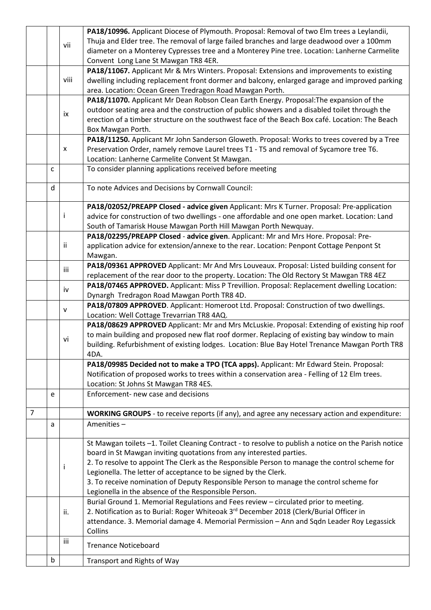|   | b |      | Transport and Rights of Way                                                                          |
|---|---|------|------------------------------------------------------------------------------------------------------|
|   |   |      | <b>Trenance Noticeboard</b>                                                                          |
|   |   | iii  |                                                                                                      |
|   |   |      | attendance. 3. Memorial damage 4. Memorial Permission - Ann and Sqdn Leader Roy Legassick<br>Collins |
|   |   | ii.  | 2. Notification as to Burial: Roger Whiteoak 3rd December 2018 (Clerk/Burial Officer in              |
|   |   |      | Burial Ground 1. Memorial Regulations and Fees review - circulated prior to meeting.                 |
|   |   |      | Legionella in the absence of the Responsible Person.                                                 |
|   |   |      | 3. To receive nomination of Deputy Responsible Person to manage the control scheme for               |
|   |   | Ť    | Legionella. The letter of acceptance to be signed by the Clerk.                                      |
|   |   |      | 2. To resolve to appoint The Clerk as the Responsible Person to manage the control scheme for        |
|   |   |      | board in St Mawgan inviting quotations from any interested parties.                                  |
|   |   |      | St Mawgan toilets -1. Toilet Cleaning Contract - to resolve to publish a notice on the Parish notice |
|   | a |      | Amenities-                                                                                           |
| 7 |   |      | <b>WORKING GROUPS</b> - to receive reports (if any), and agree any necessary action and expenditure: |
|   |   |      |                                                                                                      |
|   | e |      | Enforcement- new case and decisions                                                                  |
|   |   |      | Location: St Johns St Mawgan TR8 4ES.                                                                |
|   |   |      | Notification of proposed works to trees within a conservation area - Felling of 12 Elm trees.        |
|   |   |      | PA18/09985 Decided not to make a TPO (TCA apps). Applicant: Mr Edward Stein. Proposal:               |
|   |   |      | 4DA.                                                                                                 |
|   |   | vi   | building. Refurbishment of existing lodges. Location: Blue Bay Hotel Trenance Mawgan Porth TR8       |
|   |   |      | to main building and proposed new flat roof dormer. Replacing of existing bay window to main         |
|   |   |      | PA18/08629 APPROVED Applicant: Mr and Mrs McLuskie. Proposal: Extending of existing hip roof         |
|   |   | v    | Location: Well Cottage Trevarrian TR8 4AQ.                                                           |
|   |   |      | PA18/07809 APPROVED. Applicant: Homeroot Ltd. Proposal: Construction of two dwellings.               |
|   |   | iv   | Dynargh Tredragon Road Mawgan Porth TR8 4D.                                                          |
|   |   |      | PA18/07465 APPROVED. Applicant: Miss P Trevillion. Proposal: Replacement dwelling Location:          |
|   |   | iii  | replacement of the rear door to the property. Location: The Old Rectory St Mawgan TR8 4EZ            |
|   |   |      | PA18/09361 APPROVED Applicant: Mr And Mrs Louveaux. Proposal: Listed building consent for            |
|   |   |      | Mawgan.                                                                                              |
|   |   | ij.  | application advice for extension/annexe to the rear. Location: Penpont Cottage Penpont St            |
|   |   |      | PA18/02295/PREAPP Closed - advice given. Applicant: Mr and Mrs Hore. Proposal: Pre-                  |
|   |   |      | South of Tamarisk House Mawgan Porth Hill Mawgan Porth Newquay.                                      |
|   |   | L    | advice for construction of two dwellings - one affordable and one open market. Location: Land        |
|   |   |      | PA18/02052/PREAPP Closed - advice given Applicant: Mrs K Turner. Proposal: Pre-application           |
|   | d |      | To note Advices and Decisions by Cornwall Council:                                                   |
|   |   |      |                                                                                                      |
|   | C |      | To consider planning applications received before meeting                                            |
|   |   |      | Location: Lanherne Carmelite Convent St Mawgan.                                                      |
|   |   | X    | Preservation Order, namely remove Laurel trees T1 - T5 and removal of Sycamore tree T6.              |
|   |   |      | PA18/11250. Applicant Mr John Sanderson Gloweth. Proposal: Works to trees covered by a Tree          |
|   |   |      | Box Mawgan Porth.                                                                                    |
|   |   |      | erection of a timber structure on the southwest face of the Beach Box café. Location: The Beach      |
|   |   | ix   | outdoor seating area and the construction of public showers and a disabled toilet through the        |
|   |   |      | PA18/11070. Applicant Mr Dean Robson Clean Earth Energy. Proposal: The expansion of the              |
|   |   |      | area. Location: Ocean Green Tredragon Road Mawgan Porth.                                             |
|   |   | viii | dwelling including replacement front dormer and balcony, enlarged garage and improved parking        |
|   |   |      | PA18/11067. Applicant Mr & Mrs Winters. Proposal: Extensions and improvements to existing            |
|   |   |      | Convent Long Lane St Mawgan TR8 4ER.                                                                 |
|   |   | vii  | diameter on a Monterey Cypresses tree and a Monterey Pine tree. Location: Lanherne Carmelite         |
|   |   |      | Thuja and Elder tree. The removal of large failed branches and large deadwood over a 100mm           |
|   |   |      | PA18/10996. Applicant Diocese of Plymouth. Proposal: Removal of two Elm trees a Leylandii,           |